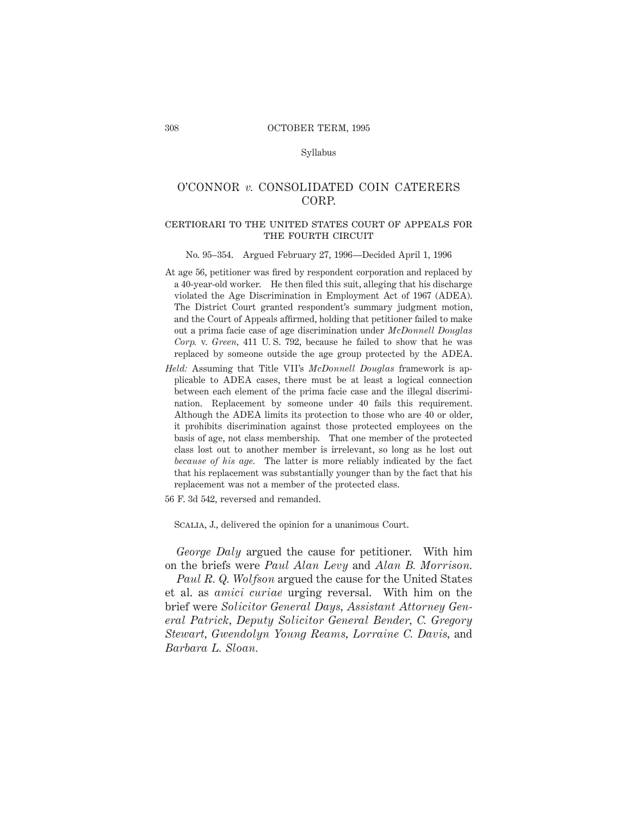## Syllabus

# O'CONNOR *v.* CONSOLIDATED COIN CATERERS CORP.

# certiorari to the united states court of appeals for THE FOURTH CIRCUIT

#### No. 95–354. Argued February 27, 1996—Decided April 1, 1996

- At age 56, petitioner was fired by respondent corporation and replaced by a 40-year-old worker. He then filed this suit, alleging that his discharge violated the Age Discrimination in Employment Act of 1967 (ADEA). The District Court granted respondent's summary judgment motion, and the Court of Appeals affirmed, holding that petitioner failed to make out a prima facie case of age discrimination under *McDonnell Douglas Corp.* v. *Green,* 411 U. S. 792, because he failed to show that he was replaced by someone outside the age group protected by the ADEA.
- *Held:* Assuming that Title VII's *McDonnell Douglas* framework is applicable to ADEA cases, there must be at least a logical connection between each element of the prima facie case and the illegal discrimination. Replacement by someone under 40 fails this requirement. Although the ADEA limits its protection to those who are 40 or older, it prohibits discrimination against those protected employees on the basis of age, not class membership. That one member of the protected class lost out to another member is irrelevant, so long as he lost out *because of his age.* The latter is more reliably indicated by the fact that his replacement was substantially younger than by the fact that his replacement was not a member of the protected class.
- 56 F. 3d 542, reversed and remanded.

SCALIA, J., delivered the opinion for a unanimous Court.

*George Daly* argued the cause for petitioner. With him on the briefs were *Paul Alan Levy* and *Alan B. Morrison.*

*Paul R. Q. Wolfson* argued the cause for the United States et al. as *amici curiae* urging reversal. With him on the brief were *Solicitor General Days, Assistant Attorney General Patrick, Deputy Solicitor General Bender, C. Gregory Stewart, Gwendolyn Young Reams, Lorraine C. Davis,* and *Barbara L. Sloan.*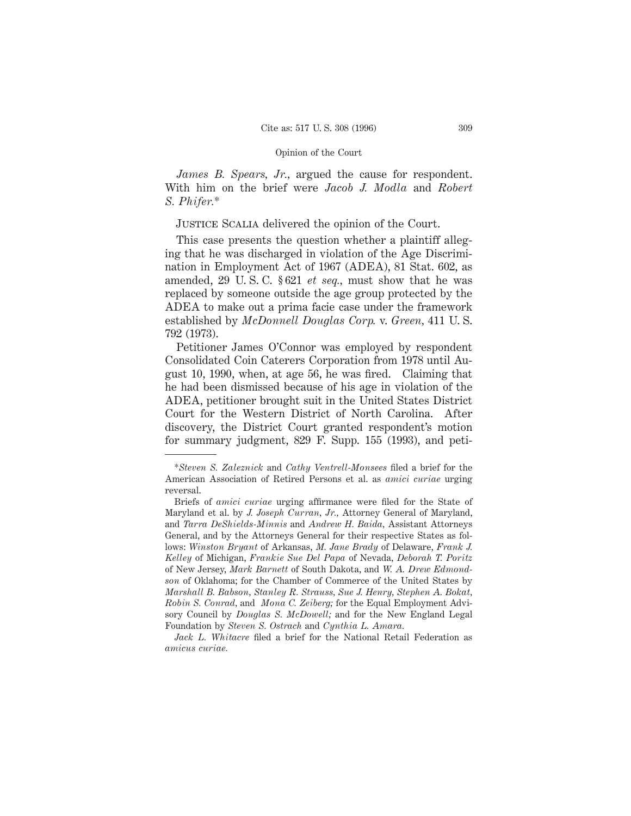*James B. Spears, Jr.,* argued the cause for respondent. With him on the brief were *Jacob J. Modla* and *Robert S. Phifer.*\*

Justice Scalia delivered the opinion of the Court.

This case presents the question whether a plaintiff alleging that he was discharged in violation of the Age Discrimination in Employment Act of 1967 (ADEA), 81 Stat. 602, as amended, 29 U. S. C. § 621 *et seq.,* must show that he was replaced by someone outside the age group protected by the ADEA to make out a prima facie case under the framework established by *McDonnell Douglas Corp.* v. *Green,* 411 U. S. 792 (1973).

Petitioner James O'Connor was employed by respondent Consolidated Coin Caterers Corporation from 1978 until August 10, 1990, when, at age 56, he was fired. Claiming that he had been dismissed because of his age in violation of the ADEA, petitioner brought suit in the United States District Court for the Western District of North Carolina. After discovery, the District Court granted respondent's motion for summary judgment, 829 F. Supp. 155 (1993), and peti-

<sup>\*</sup>*Steven S. Zaleznick* and *Cathy Ventrell-Monsees* filed a brief for the American Association of Retired Persons et al. as *amici curiae* urging reversal.

Briefs of *amici curiae* urging affirmance were filed for the State of Maryland et al. by *J. Joseph Curran, Jr.,* Attorney General of Maryland, and *Tarra DeShields-Minnis* and *Andrew H. Baida,* Assistant Attorneys General, and by the Attorneys General for their respective States as follows: *Winston Bryant* of Arkansas, *M. Jane Brady* of Delaware, *Frank J. Kelley* of Michigan, *Frankie Sue Del Papa* of Nevada, *Deborah T. Poritz* of New Jersey, *Mark Barnett* of South Dakota, and *W. A. Drew Edmondson* of Oklahoma; for the Chamber of Commerce of the United States by *Marshall B. Babson, Stanley R. Strauss, Sue J. Henry, Stephen A. Bokat, Robin S. Conrad,* and *Mona C. Zeiberg;* for the Equal Employment Advisory Council by *Douglas S. McDowell;* and for the New England Legal Foundation by *Steven S. Ostrach* and *Cynthia L. Amara.*

*Jack L. Whitacre* filed a brief for the National Retail Federation as *amicus curiae.*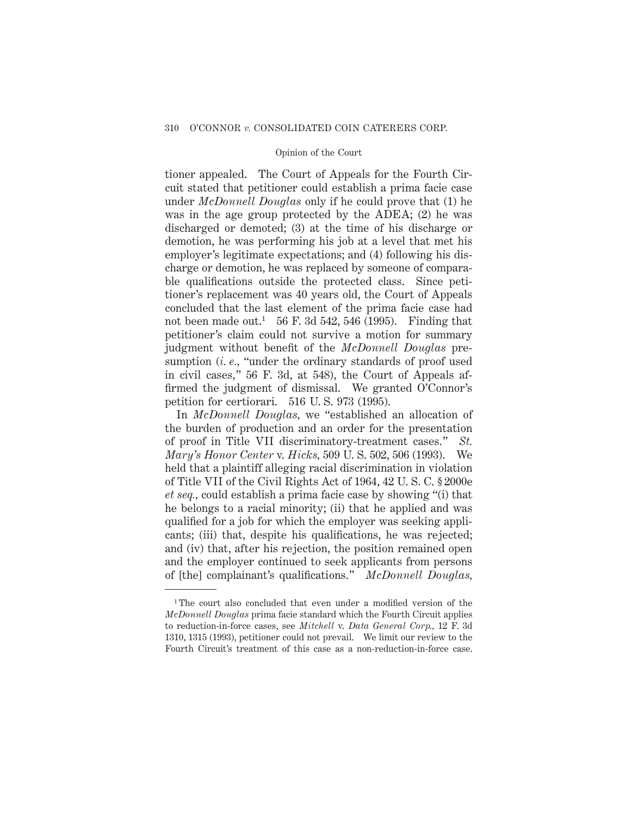tioner appealed. The Court of Appeals for the Fourth Circuit stated that petitioner could establish a prima facie case under *McDonnell Douglas* only if he could prove that (1) he was in the age group protected by the ADEA; (2) he was discharged or demoted; (3) at the time of his discharge or demotion, he was performing his job at a level that met his employer's legitimate expectations; and (4) following his discharge or demotion, he was replaced by someone of comparable qualifications outside the protected class. Since petitioner's replacement was 40 years old, the Court of Appeals concluded that the last element of the prima facie case had not been made out.<sup>1</sup> 56 F. 3d 542, 546 (1995). Finding that petitioner's claim could not survive a motion for summary judgment without benefit of the *McDonnell Douglas* presumption (*i. e.,* "under the ordinary standards of proof used in civil cases," 56 F. 3d, at 548), the Court of Appeals affirmed the judgment of dismissal. We granted O'Connor's petition for certiorari. 516 U. S. 973 (1995).

In *McDonnell Douglas,* we "established an allocation of the burden of production and an order for the presentation of proof in Title VII discriminatory-treatment cases." *St. Mary's Honor Center* v. *Hicks,* 509 U. S. 502, 506 (1993). We held that a plaintiff alleging racial discrimination in violation of Title VII of the Civil Rights Act of 1964, 42 U. S. C. § 2000e *et seq.,* could establish a prima facie case by showing "(i) that he belongs to a racial minority; (ii) that he applied and was qualified for a job for which the employer was seeking applicants; (iii) that, despite his qualifications, he was rejected; and (iv) that, after his rejection, the position remained open and the employer continued to seek applicants from persons of [the] complainant's qualifications." *McDonnell Douglas,*

<sup>1</sup> The court also concluded that even under a modified version of the *McDonnell Douglas* prima facie standard which the Fourth Circuit applies to reduction-in-force cases, see *Mitchell* v. *Data General Corp.,* 12 F. 3d 1310, 1315 (1993), petitioner could not prevail. We limit our review to the Fourth Circuit's treatment of this case as a non-reduction-in-force case.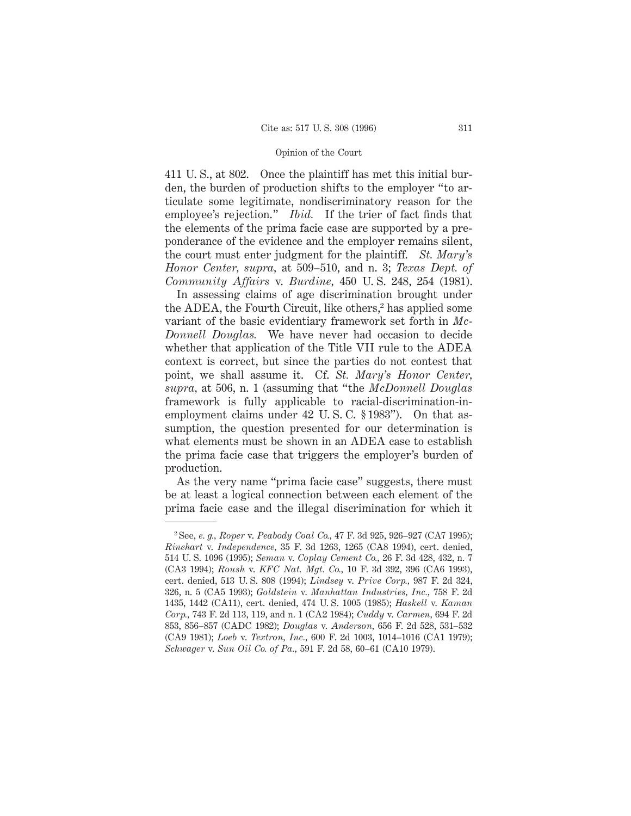411 U. S., at 802. Once the plaintiff has met this initial burden, the burden of production shifts to the employer "to articulate some legitimate, nondiscriminatory reason for the employee's rejection." *Ibid.* If the trier of fact finds that the elements of the prima facie case are supported by a preponderance of the evidence and the employer remains silent, the court must enter judgment for the plaintiff. *St. Mary's Honor Center, supra,* at 509–510, and n. 3; *Texas Dept. of Community Affairs* v. *Burdine,* 450 U. S. 248, 254 (1981).

In assessing claims of age discrimination brought under the ADEA, the Fourth Circuit, like others,<sup>2</sup> has applied some variant of the basic evidentiary framework set forth in *Mc-Donnell Douglas.* We have never had occasion to decide whether that application of the Title VII rule to the ADEA context is correct, but since the parties do not contest that point, we shall assume it. Cf. *St. Mary's Honor Center, supra,* at 506, n. 1 (assuming that "the *McDonnell Douglas* framework is fully applicable to racial-discrimination-inemployment claims under 42 U. S. C. § 1983"). On that assumption, the question presented for our determination is what elements must be shown in an ADEA case to establish the prima facie case that triggers the employer's burden of production.

As the very name "prima facie case" suggests, there must be at least a logical connection between each element of the prima facie case and the illegal discrimination for which it

<sup>2</sup> See, *e. g., Roper* v. *Peabody Coal Co.,* 47 F. 3d 925, 926–927 (CA7 1995); *Rinehart* v. *Independence,* 35 F. 3d 1263, 1265 (CA8 1994), cert. denied, 514 U. S. 1096 (1995); *Seman* v. *Coplay Cement Co.,* 26 F. 3d 428, 432, n. 7 (CA3 1994); *Roush* v. *KFC Nat. Mgt. Co.,* 10 F. 3d 392, 396 (CA6 1993), cert. denied, 513 U. S. 808 (1994); *Lindsey* v. *Prive Corp.,* 987 F. 2d 324, 326, n. 5 (CA5 1993); *Goldstein* v. *Manhattan Industries, Inc.,* 758 F. 2d 1435, 1442 (CA11), cert. denied, 474 U. S. 1005 (1985); *Haskell* v. *Kaman Corp.,* 743 F. 2d 113, 119, and n. 1 (CA2 1984); *Cuddy* v. *Carmen,* 694 F. 2d 853, 856–857 (CADC 1982); *Douglas* v. *Anderson,* 656 F. 2d 528, 531–532 (CA9 1981); *Loeb* v. *Textron, Inc.,* 600 F. 2d 1003, 1014–1016 (CA1 1979); *Schwager* v. *Sun Oil Co. of Pa.,* 591 F. 2d 58, 60–61 (CA10 1979).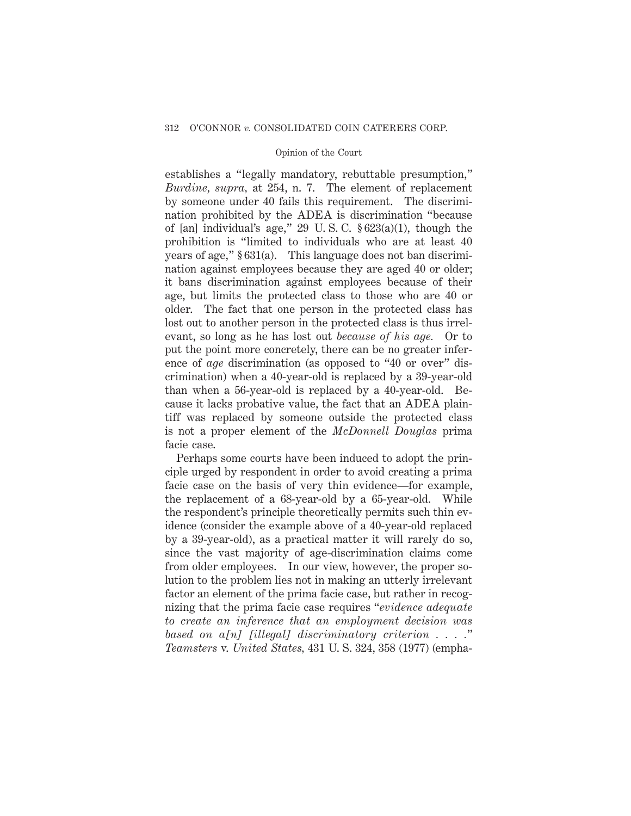establishes a "legally mandatory, rebuttable presumption," *Burdine, supra,* at 254, n. 7. The element of replacement by someone under 40 fails this requirement. The discrimination prohibited by the ADEA is discrimination "because of [an] individual's age," 29 U. S. C. § 623(a)(1), though the prohibition is "limited to individuals who are at least 40 years of age," § 631(a). This language does not ban discrimination against employees because they are aged 40 or older; it bans discrimination against employees because of their age, but limits the protected class to those who are 40 or older. The fact that one person in the protected class has lost out to another person in the protected class is thus irrelevant, so long as he has lost out *because of his age.* Or to put the point more concretely, there can be no greater inference of *age* discrimination (as opposed to "40 or over" discrimination) when a 40-year-old is replaced by a 39-year-old than when a 56-year-old is replaced by a 40-year-old. Because it lacks probative value, the fact that an ADEA plaintiff was replaced by someone outside the protected class is not a proper element of the *McDonnell Douglas* prima facie case.

Perhaps some courts have been induced to adopt the principle urged by respondent in order to avoid creating a prima facie case on the basis of very thin evidence—for example, the replacement of a 68-year-old by a 65-year-old. While the respondent's principle theoretically permits such thin evidence (consider the example above of a 40-year-old replaced by a 39-year-old), as a practical matter it will rarely do so, since the vast majority of age-discrimination claims come from older employees. In our view, however, the proper solution to the problem lies not in making an utterly irrelevant factor an element of the prima facie case, but rather in recognizing that the prima facie case requires "*evidence adequate to create an inference that an employment decision was based on a[n] [illegal] discriminatory criterion . . . .*" *Teamsters* v. *United States,* 431 U. S. 324, 358 (1977) (empha-